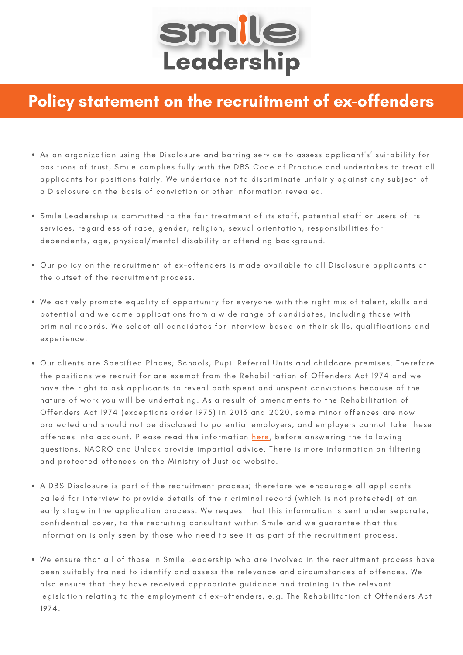

## Policy statement on the recruitment of ex-offenders

- As an organization using the Disclosure and barring service to assess applicant's' suitability for positions of trust, Smile complies fully with the DBS Code of Practice and undertakes to treat all applicants for positions fairly. We undertake not to discriminate unfairly against any subject of a Disclosure on the basis of conviction or other information revealed.
- Smile Leadership is committed to the fair treatment of its staff, potential staff or users of its services, regardless of race, gender, religion, sexual orientation, responsibilities for dependents, age, physical/mental disability or offending background.
- Our policy on the recruitment of ex-offenders is made available to all Disclosure applicants at the outset of the recruitment process.
- We actively promote equality of opportunity for everyone with the right mix of talent, skills and potential and welcome applications from a wide range of candidates, including those with criminal records. We select all candidates for interview based on their skills, qualifications and experience.
- Our clients are Specified Places; Schools, Pupil Referral Units and childcare premises. Therefore the positions we recruit for are exempt from the Rehabilitation of Offenders Act 1974 and we have the right to ask applicants to reveal both spent and unspent convictions because of the nature of work you will be undertaking. As a result of amendments to the Rehabilitation of Offenders Act 1974 (exceptions order 1975) in 2013 and 2020, some minor offences are now protected and should not be disclosed to potential employers, and employers cannot take these offences into account. Please read the information [here](https://www.nacro.org.uk/news/nacro-news/dbs-filtering-regime-changes-to-come-into-effect-end-of-nov/), before answering the following questions. NACRO and Unlock provide impartial advice. There is more information on filtering and protected offences on the Ministry of Justice website.
- A DBS Disclosure is part of the recruitment process; therefore we encourage all applicants called for interview to provide details of their criminal record (which is not protected) at an early stage in the application process. We request that this information is sent under separate, confidential cover, to the recruiting consultant within Smile and we guarantee that this information is only seen by those who need to see it as part of the recruitment process.
- We ensure that all of those in Smile Leadership who are involved in the recruitment process have been suitably trained to identify and assess the relevance and circumstances of offences. We also ensure that they have received appropriate guidance and training in the relevant legislation relating to the employment of ex-offenders, e.g. The Rehabilitation of Offenders Act 1974.